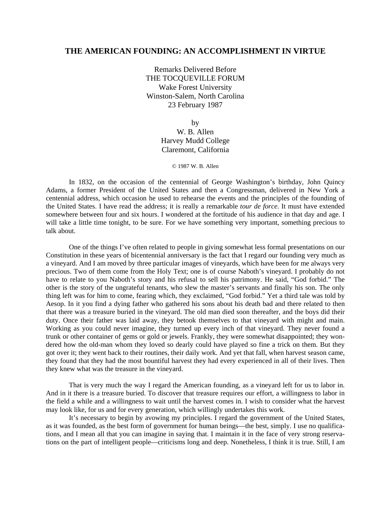## **THE AMERICAN FOUNDING: AN ACCOMPLISHMENT IN VIRTUE**

Remarks Delivered Before THE TOCQUEVILLE FORUM Wake Forest University Winston-Salem, North Carolina 23 February 1987

by

W. B. Allen Harvey Mudd College Claremont, California

© 1987 W. B. Allen

In 1832, on the occasion of the centennial of George Washington's birthday, John Quincy Adams, a former President of the United States and then a Congressman, delivered in New York a centennial address, which occasion he used to rehearse the events and the principles of the founding of the United States. I have read the address; it is really a remarkable *tour de force*. It must have extended somewhere between four and six hours. I wondered at the fortitude of his audience in that day and age. I will take a little time tonight, to be sure. For we have something very important, something precious to talk about.

One of the things I've often related to people in giving somewhat less formal presentations on our Constitution in these years of bicentennial anniversary is the fact that I regard our founding very much as a vineyard. And I am moved by three particular images of vineyards, which have been for me always very precious. Two of them come from the Holy Text; one is of course Naboth's vineyard. I probably do not have to relate to you Naboth's story and his refusal to sell his patrimony. He said, "God forbid." The other is the story of the ungrateful tenants, who slew the master's servants and finally his son. The only thing left was for him to come, fearing which, they exclaimed, "God forbid." Yet a third tale was told by Aesop. In it you find a dying father who gathered his sons about his death bad and there related to then that there was a treasure buried in the vineyard. The old man died soon thereafter, and the boys did their duty. Once their father was laid away, they betook themselves to that vineyard with might and main. Working as you could never imagine, they turned up every inch of that vineyard. They never found a trunk or other container of gems or gold or jewels. Frankly, they were somewhat disappointed; they wondered how the old-man whom they loved so dearly could have played so fine a trick on them. But they got over it; they went back to their routines, their daily work. And yet that fall, when harvest season came, they found that they had the most bountiful harvest they had every experienced in all of their lives. Then they knew what was the treasure in the vineyard.

That is very much the way I regard the American founding, as a vineyard left for us to labor in. And in it there is a treasure buried. To discover that treasure requires our effort, a willingness to labor in the field a while and a willingness to wait until the harvest comes in. I wish to consider what the harvest may look like, for us and for every generation, which willingly undertakes this work.

It's necessary to begin by avowing my principles. I regard the government of the United States, as it was founded, as the best form of government for human beings—the best, simply. I use no qualifications, and I mean all that you can imagine in saying that. I maintain it in the face of very strong reservations on the part of intelligent people—criticisms long and deep. Nonetheless, I think it is true. Still, I am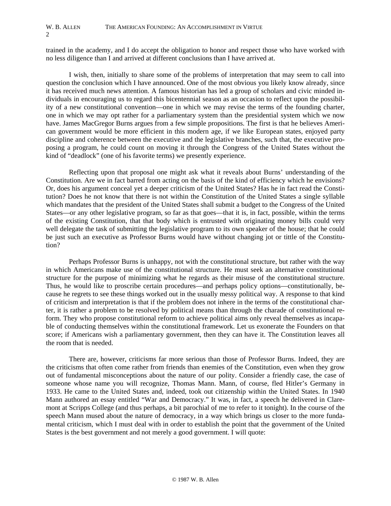trained in the academy, and I do accept the obligation to honor and respect those who have worked with no less diligence than I and arrived at different conclusions than I have arrived at.

I wish, then, initially to share some of the problems of interpretation that may seem to call into question the conclusion which I have announced. One of the most obvious you likely know already, since it has received much news attention. A famous historian has led a group of scholars and civic minded individuals in encouraging us to regard this bicentennial season as an occasion to reflect upon the possibility of a new constitutional convention—one in which we may revise the terms of the founding charter, one in which we may opt rather for a parliamentary system than the presidential system which we now have. James MacGregor Burns argues from a few simple propositions. The first is that he believes American government would be more efficient in this modern age, if we like European states, enjoyed party discipline and coherence between the executive and the legislative branches, such that, the executive proposing a program, he could count on moving it through the Congress of the United States without the kind of "deadlock" (one of his favorite terms) we presently experience.

Reflecting upon that proposal one might ask what it reveals about Burns' understanding of the Constitution. Are we in fact barred from acting on the basis of the kind of efficiency which he envisions? Or, does his argument conceal yet a deeper criticism of the United States? Has he in fact read the Constitution? Does he not know that there is not within the Constitution of the United States a single syllable which mandates that the president of the United States shall submit a budget to the Congress of the United States—or any other legislative program, so far as that goes—that it is, in fact, possible, within the terms of the existing Constitution, that that body which is entrusted with originating money bills could very well delegate the task of submitting the legislative program to its own speaker of the house; that he could be just such an executive as Professor Burns would have without changing jot or tittle of the Constitution?

Perhaps Professor Burns is unhappy, not with the constitutional structure, but rather with the way in which Americans make use of the constitutional structure. He must seek an alternative constitutional structure for the purpose of minimizing what he regards as their misuse of the constitutional structure. Thus, he would like to proscribe certain procedures—and perhaps policy options—constitutionally, because he regrets to see these things worked out in the usually messy political way. A response to that kind of criticism and interpretation is that if the problem does not inhere in the terms of the constitutional charter, it is rather a problem to be resolved by political means than through the charade of constitutional reform. They who propose constitutional reform to achieve political aims only reveal themselves as incapable of conducting themselves within the constitutional framework. Let us exonerate the Founders on that score; if Americans wish a parliamentary government, then they can have it. The Constitution leaves all the room that is needed.

There are, however, criticisms far more serious than those of Professor Burns. Indeed, they are the criticisms that often come rather from friends than enemies of the Constitution, even when they grow out of fundamental misconceptions about the nature of our polity. Consider a friendly case, the case of someone whose name you will recognize, Thomas Mann. Mann, of course, fled Hitler's Germany in 1933. He came to the United States and, indeed, took out citizenship within the United States. In 1940 Mann authored an essay entitled "War and Democracy." It was, in fact, a speech he delivered in Claremont at Scripps College (and thus perhaps, a bit parochial of me to refer to it tonight). In the course of the speech Mann mused about the nature of democracy, in a way which brings us closer to the more fundamental criticism, which I must deal with in order to establish the point that the government of the United States is the best government and not merely a good government. I will quote: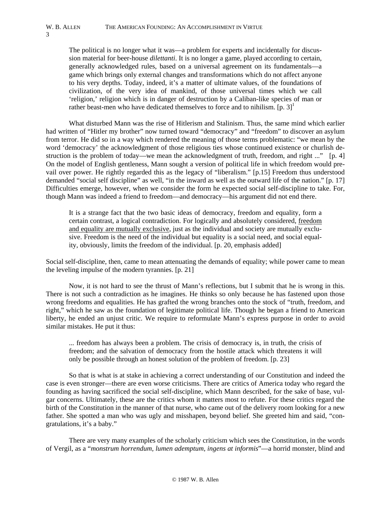The political is no longer what it was—a problem for experts and incidentally for discussion material for beer-house *dilettanti*. It is no longer a game, played according to certain, generally acknowledged rules, based on a universal agreement on its fundamentals—a game which brings only external changes and transformations which do not affect anyone to his very depths. Today, indeed, it's a matter of ultimate values, of the foundations of civilization, of the very idea of mankind, of those universal times which we call 'religion,' religion which is in danger of destruction by a Caliban-like species of man or rather beast-men who have dedicated themselves to force and to nihilism. [p. 3]<sup>1</sup>

What disturbed Mann was the rise of Hitlerism and Stalinism. Thus, the same mind which earlier had written of "Hitler my brother" now turned toward "democracy" and "freedom" to discover an asylum from terror. He did so in a way which rendered the meaning of those terms problematic: "we mean by the word 'democracy' the acknowledgment of those religious ties whose continued existence or churlish destruction is the problem of today—we mean the acknowledgment of truth, freedom, and right ..." [p. 4] On the model of English gentleness, Mann sought a version of political life in which freedom would prevail over power. He rightly regarded this as the legacy of "liberalism." [p.15] Freedom thus understood demanded "social self discipline" as well, "in the inward as well as the outward life of the nation." [p. 17] Difficulties emerge, however, when we consider the form he expected social self-discipline to take. For, though Mann was indeed a friend to freedom—and democracy—his argument did not end there.

It is a strange fact that the two basic ideas of democracy, freedom and equality, form a certain contrast, a logical contradiction. For logically and absolutely considered, freedom and equality are mutually exclusive, just as the individual and society are mutually exclusive. Freedom is the need of the individual but equality is a social need, and social equality, obviously, limits the freedom of the individual. [p. 20, emphasis added]

Social self-discipline, then, came to mean attenuating the demands of equality; while power came to mean the leveling impulse of the modern tyrannies. [p. 21]

Now, it is not hard to see the thrust of Mann's reflections, but I submit that he is wrong in this. There is not such a contradiction as he imagines. He thinks so only because he has fastened upon those wrong freedoms and equalities. He has grafted the wrong branches onto the stock of "truth, freedom, and right," which he saw as the foundation of legitimate political life. Though he began a friend to American liberty, he ended an unjust critic. We require to reformulate Mann's express purpose in order to avoid similar mistakes. He put it thus:

... freedom has always been a problem. The crisis of democracy is, in truth, the crisis of freedom; and the salvation of democracy from the hostile attack which threatens it will only be possible through an honest solution of the problem of freedom. [p. 23]

So that is what is at stake in achieving a correct understanding of our Constitution and indeed the case is even stronger—there are even worse criticisms. There are critics of America today who regard the founding as having sacrificed the social self-discipline, which Mann described, for the sake of base, vulgar concerns. Ultimately, these are the critics whom it matters most to refute. For these critics regard the birth of the Constitution in the manner of that nurse, who came out of the delivery room looking for a new father. She spotted a man who was ugly and misshapen, beyond belief. She greeted him and said, "congratulations, it's a baby."

There are very many examples of the scholarly criticism which sees the Constitution, in the words of Vergil, as a "*monstrum horrendum, lumen ademptum, ingens at informis*"—a horrid monster, blind and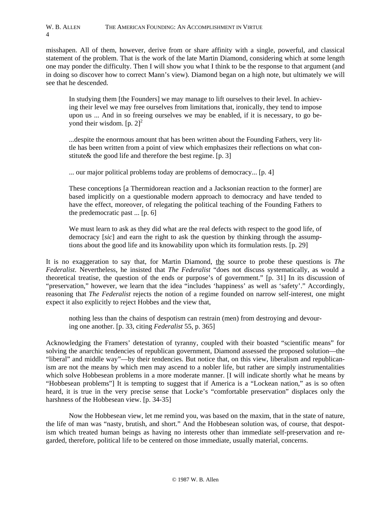misshapen. All of them, however, derive from or share affinity with a single, powerful, and classical statement of the problem. That is the work of the late Martin Diamond, considering which at some length one may ponder the difficulty. Then I will show you what I think to be the response to that argument (and in doing so discover how to correct Mann's view). Diamond began on a high note, but ultimately we will see that he descended.

In studying them [the Founders] we may manage to lift ourselves to their level. In achieving their level we may free ourselves from limitations that, ironically, they tend to impose upon us ... And in so freeing ourselves we may be enabled, if it is necessary, to go beyond their wisdom.  $[p, 2]^2$ 

...despite the enormous amount that has been written about the Founding Fathers, very little has been written from a point of view which emphasizes their reflections on what constitute& the good life and therefore the best regime. [p. 3]

... our major political problems today are problems of democracy... [p. 4]

These conceptions [a Thermidorean reaction and a Jacksonian reaction to the former] are based implicitly on a questionable modern approach to democracy and have tended to have the effect, moreover, of relegating the political teaching of the Founding Fathers to the predemocratic past ... [p. 6]

We must learn to ask as they did what are the real defects with respect to the good life, of democracy [*sic*] and earn the right to ask the question by thinking through the assumptions about the good life and its knowability upon which its formulation rests. [p. 29]

It is no exaggeration to say that, for Martin Diamond, the source to probe these questions is *The Federalist*. Nevertheless, he insisted that *The Federalist* "does not discuss systematically, as would a theoretical treatise, the question of the ends or purpose's of government." [p. 31] In its discussion of "preservation," however, we learn that the idea "includes 'happiness' as well as 'safety'." Accordingly, reasoning that *The Federalist* rejects the notion of a regime founded on narrow self-interest, one might expect it also explicitly to reject Hobbes and the view that,

nothing less than the chains of despotism can restrain (men) from destroying and devouring one another. [p. 33, citing *Federalist* 55, p. 365]

Acknowledging the Framers' detestation of tyranny, coupled with their boasted "scientific means" for solving the anarchic tendencies of republican government, Diamond assessed the proposed solution—the "liberal" and middle way"—by their tendencies. But notice that, on this view, liberalism and republicanism are not the means by which men may ascend to a nobler life, but rather are simply instrumentalities which solve Hobbesean problems in a more moderate manner. [I will indicate shortly what he means by "Hobbesean problems"] It is tempting to suggest that if America is a "Lockean nation," as is so often heard, it is true in the very precise sense that Locke's "comfortable preservation" displaces only the harshness of the Hobbesean view. [p. 34-35]

Now the Hobbesean view, let me remind you, was based on the maxim, that in the state of nature, the life of man was "nasty, brutish, and short." And the Hobbesean solution was, of course, that despotism which treated human beings as having no interests other than immediate self-preservation and regarded, therefore, political life to be centered on those immediate, usually material, concerns.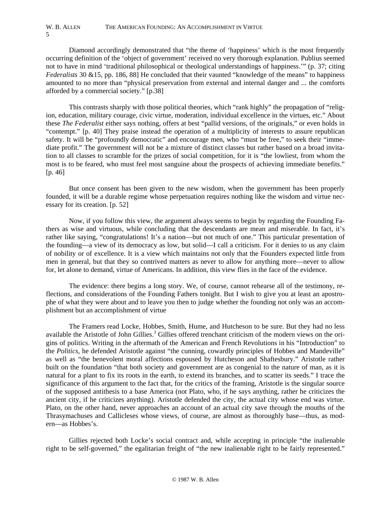Diamond accordingly demonstrated that "the theme of 'happiness' which is the most frequently occurring definition of the 'object of government' received no very thorough explanation. Publius seemed not to have in mind 'traditional philosophical or theological understandings of happiness.'" (p. 37; citing *Federalists* 30 &15, pp. 186, 88] He concluded that their vaunted "knowledge of the means" to happiness amounted to no more than "physical preservation from external and internal danger and ... the comforts afforded by a commercial society." [p.38]

This contrasts sharply with those political theories, which "rank highly" the propagation of "religion, education, military courage, civic virtue, moderation, individual excellence in the virtues, etc." About these *The Federalist* either says nothing, offers at best "pallid versions, of the originals," or even holds in "contempt." [p. 40] They praise instead the operation of a multiplicity of interests to assure republican safety. It will be "profoundly democratic" and encourage men, who "must be free," to seek their "immediate profit." The government will not be a mixture of distinct classes but rather based on a broad invitation to all classes to scramble for the prizes of social competition, for it is "the lowliest, from whom the most is to be feared, who must feel most sanguine about the prospects of achieving immediate benefits." [p. 46]

But once consent has been given to the new wisdom, when the government has been properly founded, it will be a durable regime whose perpetuation requires nothing like the wisdom and virtue necessary for its creation. [p. 52]

Now, if you follow this view, the argument always seems to begin by regarding the Founding Fathers as wise and virtuous, while concluding that the descendants are mean and miserable. In fact, it's rather like saying, "congratulations! It's a nation—but not much of one." This particular presentation of the founding—a view of its democracy as low, but solid—I call a criticism. For it denies to us any claim of nobility or of excellence. It is a view which maintains not only that the Founders expected little from men in general, but that they so contrived matters as never to allow for anything more—never to allow for, let alone to demand, virtue of Americans. In addition, this view flies in the face of the evidence.

The evidence: there begins a long story. We, of course, cannot rehearse all of the testimony, reflections, and considerations of the Founding Fathers tonight. But I wish to give you at least an apostrophe of what they were about and to leave you then to judge whether the founding not only was an accomplishment but an accomplishment of virtue

The Framers read Locke, Hobbes, Smith, Hume, and Hutcheson to be sure. But they had no less available the Aristotle of John Gillies.<sup>3</sup> Gillies offered trenchant criticism of the modern views on the origins of politics. Writing in the aftermath of the American and French Revolutions in his "Introduction" to the *Politics*, he defended Aristotle against "the cunning, cowardly principles of Hobbes and Mandeville" as well as "the benevolent moral affections espoused by Hutcheson and Shaftesbury." Aristotle rather built on the foundation "that both society and government are as congenial to the nature of man, as it is natural for a plant to fix its roots in the earth, to extend its branches, and to scatter its seeds." I trace the significance of this argument to the fact that, for the critics of the framing, Aristotle is the singular source of the supposed antithesis to a base America (not Plato, who, if he says anything, rather he criticizes the ancient city, if he criticizes anything). Aristotle defended the city, the actual city whose end was virtue. Plato, on the other hand, never approaches an account of an actual city save through the mouths of the Thrasymachuses and Callicleses whose views, of course, are almost as thoroughly base—thus, as modern—as Hobbes's.

Gillies rejected both Locke's social contract and, while accepting in principle "the inalienable right to be self-governed," the egalitarian freight of "the new inalienable right to be fairly represented."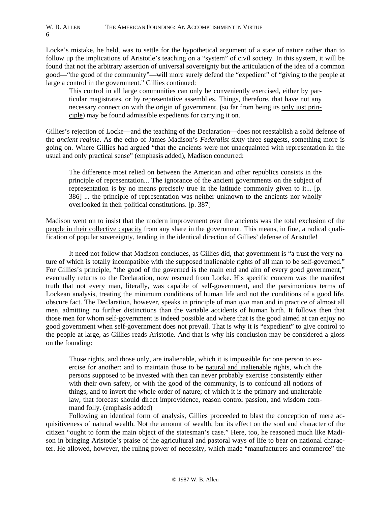Locke's mistake, he held, was to settle for the hypothetical argument of a state of nature rather than to follow up the implications of Aristotle's teaching on a "system" of civil society. In this system, it will be found that not the arbitrary assertion of universal sovereignty but the articulation of the idea of a common good—"the good of the community"—will more surely defend the "expedient" of "giving to the people at large a control in the government." Gillies continued:

This control in all large communities can only be conveniently exercised, either by particular magistrates, or by representative assemblies. Things, therefore, that have not any necessary connection with the origin of government, (so far from being its only just principle) may be found admissible expedients for carrying it on.

Gillies's rejection of Locke—and the teaching of the Declaration—does not reestablish a solid defense of the *ancient regime*. As the echo of James Madison's *Federalist* sixty-three suggests, something more is going on. Where Gillies had argued "that the ancients were not unacquainted with representation in the usual and only practical sense" (emphasis added), Madison concurred:

The difference most relied on between the American and other republics consists in the principle of representation... The ignorance of the ancient governments on the subject of representation is by no means precisely true in the latitude commonly given to it... [p. 386] ... the principle of representation was neither unknown to the ancients nor wholly overlooked in their political constitutions. [p. 387]

Madison went on to insist that the modern improvement over the ancients was the total exclusion of the people in their collective capacity from any share in the government. This means, in fine, a radical qualification of popular sovereignty, tending in the identical direction of Gillies' defense of Aristotle!

It need not follow that Madison concludes, as Gillies did, that government is "a trust the very nature of which is totally incompatible with the supposed inalienable rights of all man to be self-governed." For Gillies's principle, "the good of the governed is the main end and aim of every good government," eventually returns to the Declaration, now rescued from Locke. His specific concern was the manifest truth that not every man, literally, was capable of self-government, and the parsimonious terms of Lockean analysis, treating the minimum conditions of human life and not the conditions of a good life, obscure fact. The Declaration, however, speaks in principle of man *qua* man and in practice of almost all men, admitting no further distinctions than the variable accidents of human birth. It follows then that those men for whom self-government is indeed possible and where that is the good aimed at can enjoy no good government when self-government does not prevail. That is why it is "expedient" to give control to the people at large, as Gillies reads Aristotle. And that is why his conclusion may be considered a gloss on the founding:

Those rights, and those only, are inalienable, which it is impossible for one person to exercise for another: and to maintain those to be natural and inalienable rights, which the persons supposed to be invested with then can never probably exercise consistently either with their own safety, or with the good of the community, is to confound all notions of things, and to invert the whole order of nature; of which it is the primary and unalterable law, that forecast should direct improvidence, reason control passion, and wisdom command folly. (emphasis added)

Following an identical form of analysis, Gillies proceeded to blast the conception of mere acquisitiveness of natural wealth. Not the amount of wealth, but its effect on the soul and character of the citizen "ought to form the main object of the statesman's case." Here, too, he reasoned much like Madison in bringing Aristotle's praise of the agricultural and pastoral ways of life to bear on national character. He allowed, however, the ruling power of necessity, which made "manufacturers and commerce" the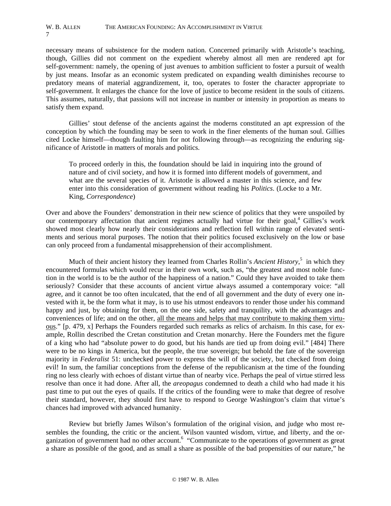necessary means of subsistence for the modern nation. Concerned primarily with Aristotle's teaching, though, Gillies did not comment on the expedient whereby almost all men are rendered apt for self-government: namely, the opening of just avenues to ambition sufficient to foster a pursuit of wealth by just means. Insofar as an economic system predicated on expanding wealth diminishes recourse to predatory means of material aggrandizement, it, too, operates to foster the character appropriate to self-government. It enlarges the chance for the love of justice to become resident in the souls of citizens. This assumes, naturally, that passions will not increase in number or intensity in proportion as means to satisfy them expand.

Gillies' stout defense of the ancients against the moderns constituted an apt expression of the conception by which the founding may be seen to work in the finer elements of the human soul. Gillies cited Locke himself—though faulting him for not following through—as recognizing the enduring significance of Aristotle in matters of morals and politics.

To proceed orderly in this, the foundation should be laid in inquiring into the ground of nature and of civil society, and how it is formed into different models of government, and what are the several species of it. Aristotle is allowed a master in this science, and few enter into this consideration of government without reading his *Politics*. (Locke to a Mr. King, *Correspondence*)

Over and above the Founders' demonstration in their new science of politics that they were unspoiled by our contemporary affectation that ancient regimes actually had virtue for their goal,<sup>4</sup> Gillies's work showed most clearly how nearly their considerations and reflection fell within range of elevated sentiments and serious moral purposes. The notion that their politics focused exclusively on the low or base can only proceed from a fundamental misapprehension of their accomplishment.

Much of their ancient history they learned from Charles Rollin's *Ancient History*, 5 in which they encountered formulas which would recur in their own work, such as, "the greatest and most noble function in the world is to be the author of the happiness of a nation." Could they have avoided to take them seriously? Consider that these accounts of ancient virtue always assumed a contemporary voice: "all agree, and it cannot be too often inculcated, that the end of all government and the duty of every one invested with it, be the form what it may, is to use his utmost endeavors to render those under his command happy and just, by obtaining for them, on the one side, safety and tranquility, with the advantages and conveniences of life; and on the other, all the means and helps that may contribute to making them virtuous." [p. 479, x] Perhaps the Founders regarded such remarks as relics of archaism. In this case, for example, Rollin described the Cretan constitution and Cretan monarchy. Here the Founders met the figure of a king who had "absolute power to do good, but his hands are tied up from doing evil." [484] There were to be no kings in America, but the people, the true sovereign; but behold the fate of the sovereign majority in *Federalist* 51: unchecked power to express the will of the society, but checked from doing evil! In sum, the familiar conceptions from the defense of the republicanism at the time of the founding ring no less clearly with echoes of distant virtue than of nearby vice. Perhaps the peal of virtue stirred less resolve than once it had done. After all, the *areopagus* condemned to death a child who had made it his past time to put out the eyes of quails. If the critics of the founding were to make that degree of resolve their standard, however, they should first have to respond to George Washington's claim that virtue's chances had improved with advanced humanity.

Review but briefly James Wilson's formulation of the original vision, and judge who most resembles the founding, the critic or the ancient. Wilson vaunted wisdom, virtue, and liberty, and the organization of government had no other account.<sup>6</sup> "Communicate to the operations of government as great a share as possible of the good, and as small a share as possible of the bad propensities of our nature," he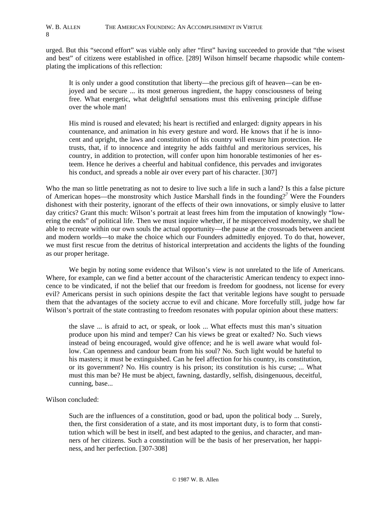urged. But this "second effort" was viable only after "first" having succeeded to provide that "the wisest and best" of citizens were established in office. [289] Wilson himself became rhapsodic while contemplating the implications of this reflection:

It is only under a good constitution that liberty—the precious gift of heaven—can be enjoyed and be secure ... its most generous ingredient, the happy consciousness of being free. What energetic, what delightful sensations must this enlivening principle diffuse over the whole man!

His mind is roused and elevated; his heart is rectified and enlarged: dignity appears in his countenance, and animation in his every gesture and word. He knows that if he is innocent and upright, the laws and constitution of his country will ensure him protection. He trusts, that, if to innocence and integrity he adds faithful and meritorious services, his country, in addition to protection, will confer upon him honorable testimonies of her esteem. Hence he derives a cheerful and habitual confidence, this pervades and invigorates his conduct, and spreads a noble air over every part of his character. [307]

Who the man so little penetrating as not to desire to live such a life in such a land? Is this a false picture of American hopes—the monstrosity which Justice Marshall finds in the founding?<sup>7</sup> Were the Founders dishonest with their posterity, ignorant of the effects of their own innovations, or simply elusive to latter day critics? Grant this much: Wilson's portrait at least frees him from the imputation of knowingly "lowering the ends" of political life. Then we must inquire whether, if he misperceived modernity, we shall be able to recreate within our own souls the actual opportunity—the pause at the crossroads between ancient and modern worlds—to make the choice which our Founders admittedly enjoyed. To do that, however, we must first rescue from the detritus of historical interpretation and accidents the lights of the founding as our proper heritage.

We begin by noting some evidence that Wilson's view is not unrelated to the life of Americans. Where, for example, can we find a better account of the characteristic American tendency to expect innocence to be vindicated, if not the belief that our freedom is freedom for goodness, not license for every evil? Americans persist in such opinions despite the fact that veritable legions have sought to persuade them that the advantages of the society accrue to evil and chicane. More forcefully still, judge how far Wilson's portrait of the state contrasting to freedom resonates with popular opinion about these matters:

the slave ... is afraid to act, or speak, or look ... What effects must this man's situation produce upon his mind and temper? Can his views be great or exalted? No. Such views instead of being encouraged, would give offence; and he is well aware what would follow. Can openness and candour beam from his soul? No. Such light would be hateful to his masters; it must be extinguished. Can he feel affection for his country, its constitution, or its government? No. His country is his prison; its constitution is his curse; ... What must this man be? He must be abject, fawning, dastardly, selfish, disingenuous, deceitful, cunning, base...

## Wilson concluded:

Such are the influences of a constitution, good or bad, upon the political body ... Surely, then, the first consideration of a state, and its most important duty, is to form that constitution which will be best in itself, and best adapted to the genius, and character, and manners of her citizens. Such a constitution will be the basis of her preservation, her happiness, and her perfection. [307-308]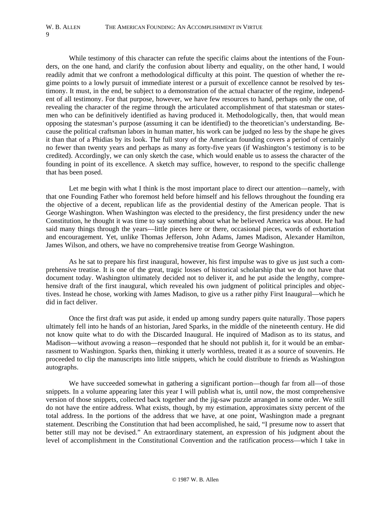$\mathbf Q$ 

While testimony of this character can refute the specific claims about the intentions of the Founders, on the one hand, and clarify the confusion about liberty and equality, on the other hand, I would readily admit that we confront a methodological difficulty at this point. The question of whether the regime points to a lowly pursuit of immediate interest or a pursuit of excellence cannot be resolved by testimony. It must, in the end, be subject to a demonstration of the actual character of the regime, independent of all testimony. For that purpose, however, we have few resources to hand, perhaps only the one, of revealing the character of the regime through the articulated accomplishment of that statesman or statesmen who can be definitively identified as having produced it. Methodologically, then, that would mean opposing the statesman's purpose (assuming it can be identified) to the theoretician's understanding. Because the political craftsman labors in human matter, his work can be judged no less by the shape he gives it than that of a Phidias by its look. The full story of the American founding covers a period of certainly no fewer than twenty years and perhaps as many as forty-five years (if Washington's testimony is to be credited). Accordingly, we can only sketch the case, which would enable us to assess the character of the founding in point of its excellence. A sketch may suffice, however, to respond to the specific challenge that has been posed.

Let me begin with what I think is the most important place to direct our attention—namely, with that one Founding Father who foremost held before himself and his fellows throughout the founding era the objective of a decent, republican life as the providential destiny of the American people. That is George Washington. When Washington was elected to the presidency, the first presidency under the new Constitution, he thought it was time to say something about what he believed America was about. He had said many things through the years—little pieces here or there, occasional pieces, words of exhortation and encouragement. Yet, unlike Thomas Jefferson, John Adams, James Madison, Alexander Hamilton, James Wilson, and others, we have no comprehensive treatise from George Washington.

As he sat to prepare his first inaugural, however, his first impulse was to give us just such a comprehensive treatise. It is one of the great, tragic losses of historical scholarship that we do not have that document today. Washington ultimately decided not to deliver it, and he put aside the lengthy, comprehensive draft of the first inaugural, which revealed his own judgment of political principles and objectives. Instead he chose, working with James Madison, to give us a rather pithy First Inaugural—which he did in fact deliver.

Once the first draft was put aside, it ended up among sundry papers quite naturally. Those papers ultimately fell into he hands of an historian, Jared Sparks, in the middle of the nineteenth century. He did not know quite what to do with the Discarded Inaugural. He inquired of Madison as to its status, and Madison—without avowing a reason—responded that he should not publish it, for it would be an embarrassment to Washington. Sparks then, thinking it utterly worthless, treated it as a source of souvenirs. He proceeded to clip the manuscripts into little snippets, which he could distribute to friends as Washington autographs.

We have succeeded somewhat in gathering a significant portion—though far from all—of those snippets. In a volume appearing later this year I will publish what is, until now, the most comprehensive version of those snippets, collected back together and the jig-saw puzzle arranged in some order. We still do not have the entire address. What exists, though, by my estimation, approximates sixty percent of the total address. In the portions of the address that we have, at one point, Washington made a pregnant statement. Describing the Constitution that had been accomplished, he said, "I presume now to assert that better still may not be devised." An extraordinary statement, an expression of his judgment about the level of accomplishment in the Constitutional Convention and the ratification process—which I take in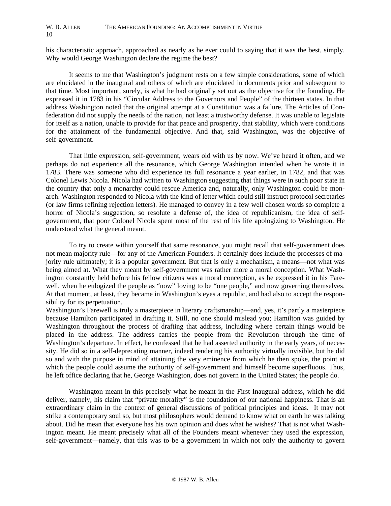his characteristic approach, approached as nearly as he ever could to saying that it was the best, simply. Why would George Washington declare the regime the best?

It seems to me that Washington's judgment rests on a few simple considerations, some of which are elucidated in the inaugural and others of which are elucidated in documents prior and subsequent to that time. Most important, surely, is what he had originally set out as the objective for the founding. He expressed it in 1783 in his "Circular Address to the Governors and People" of the thirteen states. In that address Washington noted that the original attempt at a Constitution was a failure. The Articles of Confederation did not supply the needs of the nation, not least a trustworthy defense. It was unable to legislate for itself as a nation, unable to provide for that peace and prosperity, that stability, which were conditions for the attainment of the fundamental objective. And that, said Washington, was the objective of self-government.

That little expression, self-government, wears old with us by now. We've heard it often, and we perhaps do not experience all the resonance, which George Washington intended when he wrote it in 1783. There was someone who did experience its full resonance a year earlier, in 1782, and that was Colonel Lewis Nicola. Nicola had written to Washington suggesting that things were in such poor state in the country that only a monarchy could rescue America and, naturally, only Washington could be monarch. Washington responded to Nicola with the kind of letter which could still instruct protocol secretaries (or law firms refining rejection letters). He managed to convey in a few well chosen words so complete a horror of Nicola's suggestion, so resolute a defense of, the idea of republicanism, the idea of selfgovernment, that poor Colonel Nicola spent most of the rest of his life apologizing to Washington. He understood what the general meant.

To try to create within yourself that same resonance, you might recall that self-government does not mean majority rule—for any of the American Founders. It certainly does include the processes of majority rule ultimately; it is a popular government. But that is only a mechanism, a means—not what was being aimed at. What they meant by self-government was rather more a moral conception. What Washington constantly held before his fellow citizens was a moral conception, as he expressed it in his Farewell, when he eulogized the people as "now" loving to be "one people," and now governing themselves. At that moment, at least, they became in Washington's eyes a republic, and had also to accept the responsibility for its perpetuation.

Washington's Farewell is truly a masterpiece in literary craftsmanship—and, yes, it's partly a masterpiece because Hamilton participated in drafting it. Still, no one should mislead you; Hamilton was guided by Washington throughout the process of drafting that address, including where certain things would be placed in the address. The address carries the people from the Revolution through the time of Washington's departure. In effect, he confessed that he had asserted authority in the early years, of necessity. He did so in a self-deprecating manner, indeed rendering his authority virtually invisible, but he did so and with the purpose in mind of attaining the very eminence from which he then spoke, the point at which the people could assume the authority of self-government and himself become superfluous. Thus, he left office declaring that he, George Washington, does not govern in the United States; the people do.

Washington meant in this precisely what he meant in the First Inaugural address, which he did deliver, namely, his claim that "private morality" is the foundation of our national happiness. That is an extraordinary claim in the context of general discussions of political principles and ideas. It may not strike a contemporary soul so, but most philosophers would demand to know what on earth he was talking about. Did he mean that everyone has his own opinion and does what he wishes? That is not what Washington meant. He meant precisely what all of the Founders meant whenever they used the expression, self-government—namely, that this was to be a government in which not only the authority to govern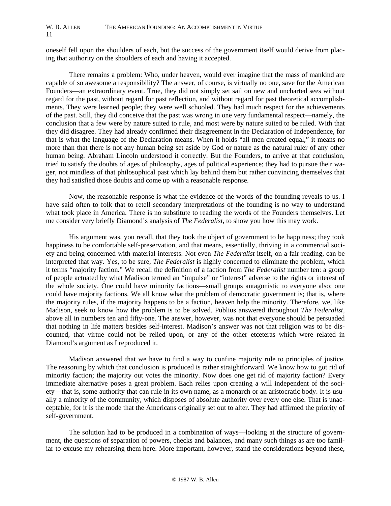oneself fell upon the shoulders of each, but the success of the government itself would derive from placing that authority on the shoulders of each and having it accepted.

There remains a problem: Who, under heaven, would ever imagine that the mass of mankind are capable of so awesome a responsibility? The answer, of course, is virtually no one, save for the American Founders—an extraordinary event. True, they did not simply set sail on new and uncharted sees without regard for the past, without regard for past reflection, and without regard for past theoretical accomplishments. They were learned people; they were well schooled. They had much respect for the achievements of the past. Still, they did conceive that the past was wrong in one very fundamental respect—namely, the conclusion that a few were by nature suited to rule, and most were by nature suited to be ruled. With that they did disagree. They had already confirmed their disagreement in the Declaration of Independence, for that is what the language of the Declaration means. When it holds "all men created equal," it means no more than that there is not any human being set aside by God or nature as the natural ruler of any other human being. Abraham Lincoln understood it correctly. But the Founders, to arrive at that conclusion, tried to satisfy the doubts of ages of philosophy, ages of political experience; they had to pursue their wager, not mindless of that philosophical past which lay behind them but rather convincing themselves that they had satisfied those doubts and come up with a reasonable response.

Now, the reasonable response is what the evidence of the words of the founding reveals to us. I have said often to folk that to retell secondary interpretations of the founding is no way to understand what took place in America. There is no substitute to reading the words of the Founders themselves. Let me consider very briefly Diamond's analysis of *The Federalist*, to show you how this may work.

His argument was, you recall, that they took the object of government to be happiness; they took happiness to be comfortable self-preservation, and that means, essentially, thriving in a commercial society and being concerned with material interests. Not even *The Federalist* itself, on a fair reading, can be interpreted that way. Yes, to be sure, *The Federalist* is highly concerned to eliminate the problem, which it terms "majority faction." We recall the definition of a faction from *The Federalist* number ten: a group of people actuated by what Madison termed an "impulse" or "interest" adverse to the rights or interest of the whole society. One could have minority factions—small groups antagonistic to everyone also; one could have majority factions. We all know what the problem of democratic government is; that is, where the majority rules, if the majority happens to be a faction, heaven help the minority. Therefore, we, like Madison, seek to know how the problem is to be solved. Publius answered throughout *The Federalist*, above all in numbers ten and fifty-one. The answer, however, was not that everyone should be persuaded that nothing in life matters besides self-interest. Madison's answer was not that religion was to be discounted, that virtue could not be relied upon, or any of the other etceteras which were related in Diamond's argument as I reproduced it.

Madison answered that we have to find a way to confine majority rule to principles of justice. The reasoning by which that conclusion is produced is rather straightforward. We know how to got rid of minority faction; the majority out votes the minority. Now does one get rid of majority faction? Every immediate alternative poses a great problem. Each relies upon creating a will independent of the society—that is, some authority that can rule in its own name, as a monarch or an aristocratic body. It is usually a minority of the community, which disposes of absolute authority over every one else. That is unacceptable, for it is the mode that the Americans originally set out to alter. They had affirmed the priority of self-government.

The solution had to be produced in a combination of ways—looking at the structure of government, the questions of separation of powers, checks and balances, and many such things as are too familiar to excuse my rehearsing them here. More important, however, stand the considerations beyond these,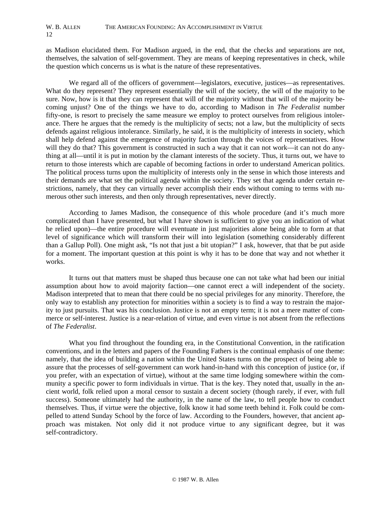as Madison elucidated them. For Madison argued, in the end, that the checks and separations are not, themselves, the salvation of self-government. They are means of keeping representatives in check, while the question which concerns us is what is the nature of these representatives.

We regard all of the officers of government—legislators, executive, justices—as representatives. What do they represent? They represent essentially the will of the society, the will of the majority to be sure. Now, how is it that they can represent that will of the majority without that will of the majority becoming unjust? One of the things we have to do, according to Madison in *The Federalist* number fifty-one, is resort to precisely the same measure we employ to protect ourselves from religious intolerance. There he argues that the remedy is the multiplicity of sects; not a law, but the multiplicity of sects defends against religious intolerance. Similarly, he said, it is the multiplicity of interests in society, which shall help defend against the emergence of majority faction through the voices of representatives. How will they do that? This government is constructed in such a way that it can not work—it can not do anything at all—until it is put in motion by the clamant interests of the society. Thus, it turns out, we have to return to those interests which are capable of becoming factions in order to understand American politics. The political process turns upon the multiplicity of interests only in the sense in which those interests and their demands are what set the political agenda within the society. They set that agenda under certain restrictions, namely, that they can virtually never accomplish their ends without coming to terms with numerous other such interests, and then only through representatives, never directly.

According to James Madison, the consequence of this whole procedure (and it's much more complicated than I have presented, but what I have shown is sufficient to give you an indication of what he relied upon)—the entire procedure will eventuate in just majorities alone being able to form at that level of significance which will transform their will into legislation (something considerably different than a Gallup Poll). One might ask, "Is not that just a bit utopian?" I ask, however, that that be put aside for a moment. The important question at this point is why it has to be done that way and not whether it works.

It turns out that matters must be shaped thus because one can not take what had been our initial assumption about how to avoid majority faction—one cannot erect a will independent of the society. Madison interpreted that to mean that there could be no special privileges for any minority. Therefore, the only way to establish any protection for minorities within a society is to find a way to restrain the majority to just pursuits. That was his conclusion. Justice is not an empty term; it is not a mere matter of commerce or self-interest. Justice is a near-relation of virtue, and even virtue is not absent from the reflections of *The Federalist*.

What you find throughout the founding era, in the Constitutional Convention, in the ratification conventions, and in the letters and papers of the Founding Fathers is the continual emphasis of one theme: namely, that the idea of building a nation within the United States turns on the prospect of being able to assure that the processes of self-government can work hand-in-hand with this conception of justice (or, if you prefer, with an expectation of virtue), without at the same time lodging somewhere within the community a specific power to form individuals in virtue. That is the key. They noted that, usually in the ancient world, folk relied upon a moral censor to sustain a decent society (though rarely, if ever, with full success). Someone ultimately had the authority, in the name of the law, to tell people how to conduct themselves. Thus, if virtue were the objective, folk know it had some teeth behind it. Folk could be compelled to attend Sunday School by the force of law. According to the Founders, however, that ancient approach was mistaken. Not only did it not produce virtue to any significant degree, but it was self-contradictory.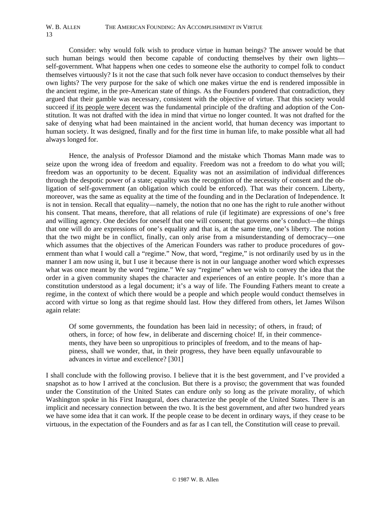Consider: why would folk wish to produce virtue in human beings? The answer would be that such human beings would then become capable of conducting themselves by their own lights self-government. What happens when one cedes to someone else the authority to compel folk to conduct themselves virtuously? Is it not the case that such folk never have occasion to conduct themselves by their own lights? The very purpose for the sake of which one makes virtue the end is rendered impossible in the ancient regime, in the pre-American state of things. As the Founders pondered that contradiction, they argued that their gamble was necessary, consistent with the objective of virtue. That this society would succeed if its people were decent was the fundamental principle of the drafting and adoption of the Constitution. It was not drafted with the idea in mind that virtue no longer counted. It was not drafted for the sake of denying what had been maintained in the ancient world, that human decency was important to human society. It was designed, finally and for the first time in human life, to make possible what all had always longed for.

Hence, the analysis of Professor Diamond and the mistake which Thomas Mann made was to seize upon the wrong idea of freedom and equality. Freedom was not a freedom to do what you will; freedom was an opportunity to be decent. Equality was not an assimilation of individual differences through the despotic power of a state; equality was the recognition of the necessity of consent and the obligation of self-government (an obligation which could be enforced). That was their concern. Liberty, moreover, was the same as equality at the time of the founding and in the Declaration of Independence. It is not in tension. Recall that equality—namely, the notion that no one has the right to rule another without his consent. That means, therefore, that all relations of rule (if legitimate) are expressions of one's free and willing agency. One decides for oneself that one will consent; that governs one's conduct—the things that one will do are expressions of one's equality and that is, at the same time, one's liberty. The notion that the two might be in conflict, finally, can only arise from a misunderstanding of democracy—one which assumes that the objectives of the American Founders was rather to produce procedures of government than what I would call a "regime." Now, that word, "regime," is not ordinarily used by us in the manner I am now using it, but I use it because there is not in our language another word which expresses what was once meant by the word "regime." We say "regime" when we wish to convey the idea that the order in a given community shapes the character and experiences of an entire people. It's more than a constitution understood as a legal document; it's a way of life. The Founding Fathers meant to create a regime, in the context of which there would be a people and which people would conduct themselves in accord with virtue so long as that regime should last. How they differed from others, let James Wilson again relate:

Of some governments, the foundation has been laid in necessity; of others, in fraud; of others, in force; of how few, in deliberate and discerning choice! If, in their commencements, they have been so unpropitious to principles of freedom, and to the means of happiness, shall we wonder, that, in their progress, they have been equally unfavourable to advances in virtue and excellence? [301]

I shall conclude with the following proviso. I believe that it is the best government, and I've provided a snapshot as to how I arrived at the conclusion. But there is a proviso; the government that was founded under the Constitution of the United States can endure only so long as the private morality, of which Washington spoke in his First Inaugural, does characterize the people of the United States. There is an implicit and necessary connection between the two. It is the best government, and after two hundred years we have some idea that it can work. If the people cease to be decent in ordinary ways, if they cease to be virtuous, in the expectation of the Founders and as far as I can tell, the Constitution will cease to prevail.